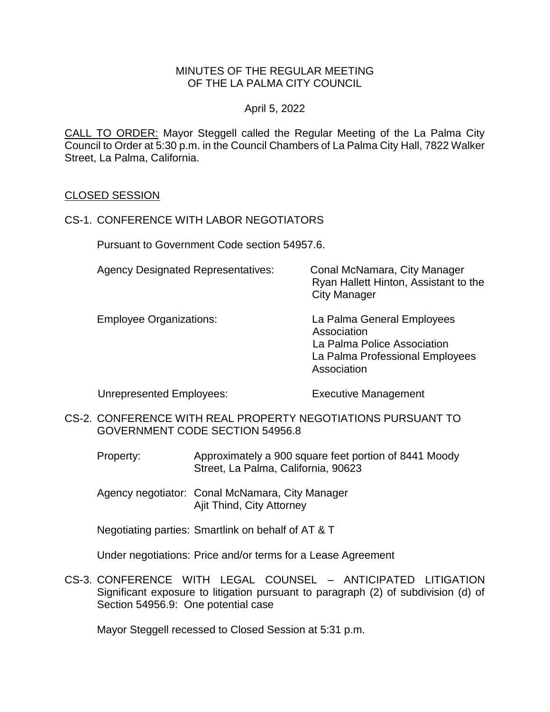#### MINUTES OF THE REGULAR MEETING OF THE LA PALMA CITY COUNCIL

### April 5, 2022

CALL TO ORDER: Mayor Steggell called the Regular Meeting of the La Palma City Council to Order at 5:30 p.m. in the Council Chambers of La Palma City Hall, 7822 Walker Street, La Palma, California.

#### CLOSED SESSION

### CS-1. CONFERENCE WITH LABOR NEGOTIATORS

Pursuant to Government Code section 54957.6.

| <b>Agency Designated Representatives:</b> | Conal McNamara, City Manager<br>Ryan Hallett Hinton, Assistant to the<br><b>City Manager</b>                               |
|-------------------------------------------|----------------------------------------------------------------------------------------------------------------------------|
| <b>Employee Organizations:</b>            | La Palma General Employees<br>Association<br>La Palma Police Association<br>La Palma Professional Employees<br>Association |

Unrepresented Employees: Executive Management

- CS-2. CONFERENCE WITH REAL PROPERTY NEGOTIATIONS PURSUANT TO GOVERNMENT CODE SECTION 54956.8
	- Property: Approximately a 900 square feet portion of 8441 Moody Street, La Palma, California, 90623
	- Agency negotiator: Conal McNamara, City Manager Ajit Thind, City Attorney

Negotiating parties: Smartlink on behalf of AT & T

Under negotiations: Price and/or terms for a Lease Agreement

CS-3. CONFERENCE WITH LEGAL COUNSEL – ANTICIPATED LITIGATION Significant exposure to litigation pursuant to paragraph (2) of subdivision (d) of Section 54956.9: One potential case

Mayor Steggell recessed to Closed Session at 5:31 p.m.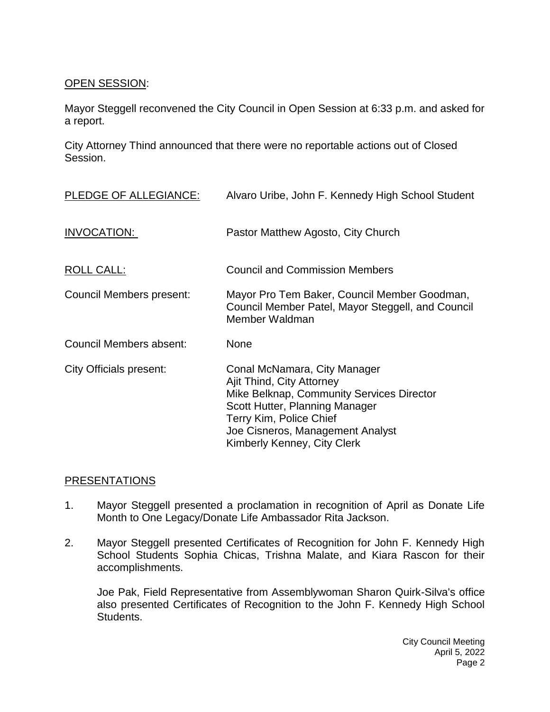# OPEN SESSION:

Mayor Steggell reconvened the City Council in Open Session at 6:33 p.m. and asked for a report.

City Attorney Thind announced that there were no reportable actions out of Closed Session.

| PLEDGE OF ALLEGIANCE:    | Alvaro Uribe, John F. Kennedy High School Student                                                                                                                                                                                      |
|--------------------------|----------------------------------------------------------------------------------------------------------------------------------------------------------------------------------------------------------------------------------------|
| INVOCATION:              | Pastor Matthew Agosto, City Church                                                                                                                                                                                                     |
| ROLL CALL:               | <b>Council and Commission Members</b>                                                                                                                                                                                                  |
| Council Members present: | Mayor Pro Tem Baker, Council Member Goodman,<br>Council Member Patel, Mayor Steggell, and Council<br>Member Waldman                                                                                                                    |
| Council Members absent:  | <b>None</b>                                                                                                                                                                                                                            |
| City Officials present:  | Conal McNamara, City Manager<br>Ajit Thind, City Attorney<br>Mike Belknap, Community Services Director<br>Scott Hutter, Planning Manager<br>Terry Kim, Police Chief<br>Joe Cisneros, Management Analyst<br>Kimberly Kenney, City Clerk |

## [PRESENTATIONS](https://lapalma.granicus.com/MediaPlayer.php?view_id=&clip_id=1286&meta_id=172329)

- 1. [Mayor Steggell presented a proclamation in recognition of April as Donate Life](https://lapalma.granicus.com/MediaPlayer.php?view_id=&clip_id=1286&meta_id=172330)  [Month to One Legacy/Donate Life Ambassador Rita Jackson.](https://lapalma.granicus.com/MediaPlayer.php?view_id=&clip_id=1286&meta_id=172330)
- 2. [Mayor Steggell presented Certificates of Recognition for John F. Kennedy High](https://lapalma.granicus.com/MediaPlayer.php?view_id=&clip_id=1286&meta_id=172331)  [School Students Sophia Chicas, Trishna Malate, and Kiara Rascon for their](https://lapalma.granicus.com/MediaPlayer.php?view_id=&clip_id=1286&meta_id=172331)  [accomplishments.](https://lapalma.granicus.com/MediaPlayer.php?view_id=&clip_id=1286&meta_id=172331)

Joe Pak, Field Representative from Assemblywoman Sharon Quirk-Silva's office also presented Certificates of Recognition to the John F. Kennedy High School Students.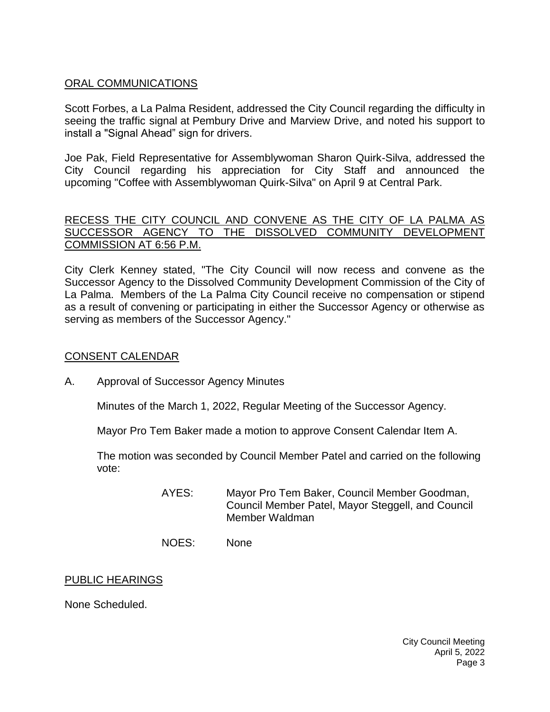### [ORAL COMMUNICATIONS](https://lapalma.granicus.com/MediaPlayer.php?view_id=&clip_id=1286&meta_id=172332)

Scott Forbes, a La Palma Resident, addressed the City Council regarding the difficulty in seeing the traffic signal at Pembury Drive and Marview Drive, and noted his support to install a "Signal Ahead" sign for drivers.

Joe Pak, Field Representative for Assemblywoman Sharon Quirk-Silva, addressed the City Council regarding his appreciation for City Staff and announced the upcoming "Coffee with Assemblywoman Quirk-Silva" on April 9 at Central Park.

#### [RECESS THE CITY COUNCIL AND CONVENE AS THE CITY OF LA PALMA AS](https://lapalma.granicus.com/MediaPlayer.php?view_id=&clip_id=1286&meta_id=172333)  [SUCCESSOR AGENCY TO THE DISSOLVED COMMUNITY DEVELOPMENT](https://lapalma.granicus.com/MediaPlayer.php?view_id=&clip_id=1286&meta_id=172333)  [COMMISSION AT 6:56 P.M.](https://lapalma.granicus.com/MediaPlayer.php?view_id=&clip_id=1286&meta_id=172333)

[City Clerk Kenney stated, "The City Council will now recess and convene as the](https://lapalma.granicus.com/MediaPlayer.php?view_id=&clip_id=1286&meta_id=172334)  [Successor Agency to the Dissolved Community Development Commission of the City of](https://lapalma.granicus.com/MediaPlayer.php?view_id=&clip_id=1286&meta_id=172334)  La Palma. [Members of the La Palma City Council receive no compensation or stipend](https://lapalma.granicus.com/MediaPlayer.php?view_id=&clip_id=1286&meta_id=172334)  [as a result of convening or participating in either the Successor Agency or otherwise as](https://lapalma.granicus.com/MediaPlayer.php?view_id=&clip_id=1286&meta_id=172334)  [serving as members of the Successor Agency."](https://lapalma.granicus.com/MediaPlayer.php?view_id=&clip_id=1286&meta_id=172334)

### [CONSENT CALENDAR](https://lapalma.granicus.com/MediaPlayer.php?view_id=&clip_id=1286&meta_id=172335)

A. Approval of Successor Agency Minutes

Minutes of the March 1, 2022, Regular Meeting of the Successor Agency.

Mayor Pro Tem Baker made a motion to approve Consent Calendar Item A.

The motion was seconded by Council Member Patel and carried on the following vote:

> AYES: Mayor Pro Tem Baker, Council Member Goodman, Council Member Patel, Mayor Steggell, and Council Member Waldman

NOES: None

PUBLIC HEARINGS

None Scheduled.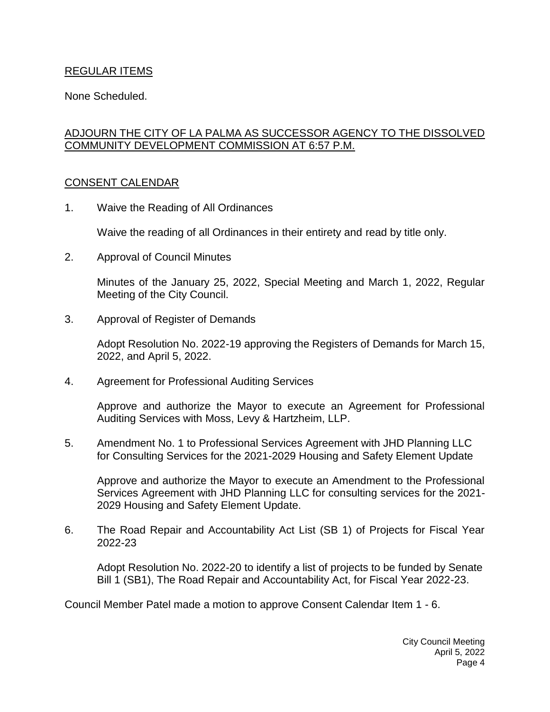### REGULAR ITEMS

None Scheduled.

## [ADJOURN THE CITY OF LA PALMA AS SUCCESSOR AGENCY TO THE DISSOLVED](https://lapalma.granicus.com/MediaPlayer.php?view_id=&clip_id=1286&meta_id=172339)  [COMMUNITY DEVELOPMENT COMMISSION AT 6:57 P.M.](https://lapalma.granicus.com/MediaPlayer.php?view_id=&clip_id=1286&meta_id=172339)

### [CONSENT CALENDAR](https://lapalma.granicus.com/MediaPlayer.php?view_id=&clip_id=1286&meta_id=172341)

1. Waive the Reading of All Ordinances

Waive the reading of all Ordinances in their entirety and read by title only.

2. Approval of Council Minutes

Minutes of the January 25, 2022, Special Meeting and March 1, 2022, Regular Meeting of the City Council.

3. Approval of Register of Demands

Adopt Resolution No. 2022-19 approving the Registers of Demands for March 15, 2022, and April 5, 2022.

4. Agreement for Professional Auditing Services

Approve and authorize the Mayor to execute an Agreement for Professional Auditing Services with Moss, Levy & Hartzheim, LLP.

5. Amendment No. 1 to Professional Services Agreement with JHD Planning LLC for Consulting Services for the 2021-2029 Housing and Safety Element Update

Approve and authorize the Mayor to execute an Amendment to the Professional Services Agreement with JHD Planning LLC for consulting services for the 2021- 2029 Housing and Safety Element Update.

6. The Road Repair and Accountability Act List (SB 1) of Projects for Fiscal Year 2022-23

Adopt Resolution No. 2022-20 to identify a list of projects to be funded by Senate Bill 1 (SB1), The Road Repair and Accountability Act, for Fiscal Year 2022-23.

Council Member Patel made a motion to approve Consent Calendar Item 1 - 6.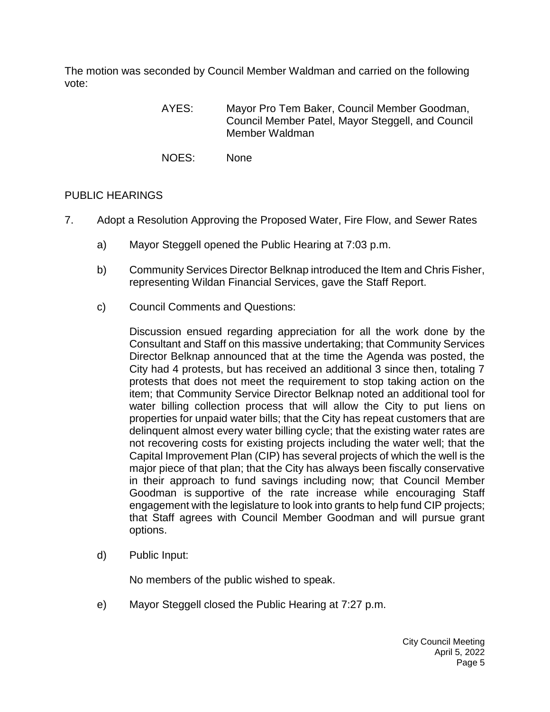The motion was seconded by Council Member Waldman and carried on the following vote:

- AYES: Mayor Pro Tem Baker, Council Member Goodman, Council Member Patel, Mayor Steggell, and Council Member Waldman
- NOES: None

# [PUBLIC HEARINGS](https://lapalma.granicus.com/MediaPlayer.php?view_id=&clip_id=1286&meta_id=172348)

- 7. [Adopt a Resolution Approving the Proposed Water, Fire Flow, and Sewer Rates](https://lapalma.granicus.com/MediaPlayer.php?view_id=&clip_id=1286&meta_id=172349)
	- a) [Mayor Steggell opened the Public Hearing at 7:03 p.m.](https://lapalma.granicus.com/MediaPlayer.php?view_id=&clip_id=1286&meta_id=172350)
	- b) [Community Services Director Belknap introduced the Item and Chris Fisher,](https://lapalma.granicus.com/MediaPlayer.php?view_id=&clip_id=1286&meta_id=172351)  representing [Wildan Financial Services, gave the](https://lapalma.granicus.com/MediaPlayer.php?view_id=&clip_id=1286&meta_id=172351) Staff Report.
	- c) [Council Comments and Questions:](https://lapalma.granicus.com/MediaPlayer.php?view_id=&clip_id=1286&meta_id=172352)

Discussion ensued regarding appreciation for all the work done by the Consultant and Staff on this massive undertaking; that Community Services Director Belknap announced that at the time the Agenda was posted, the City had 4 protests, but has received an additional 3 since then, totaling 7 protests that does not meet the requirement to stop taking action on the item; that Community Service Director Belknap noted an additional tool for water billing collection process that will allow the City to put liens on properties for unpaid water bills; that the City has repeat customers that are delinquent almost every water billing cycle; that the existing water rates are not recovering costs for existing projects including the water well; that the Capital Improvement Plan (CIP) has several projects of which the well is the major piece of that plan; that the City has always been fiscally conservative in their approach to fund savings including now; that Council Member Goodman is supportive of the rate increase while encouraging Staff engagement with the legislature to look into grants to help fund CIP projects; that Staff agrees with Council Member Goodman and will pursue grant options.

d) [Public Input:](https://lapalma.granicus.com/MediaPlayer.php?view_id=&clip_id=1286&meta_id=172353)

No members of the public wished to speak.

e) [Mayor Steggell closed the Public Hearing at 7:27 p.m.](https://lapalma.granicus.com/MediaPlayer.php?view_id=&clip_id=1286&meta_id=172354)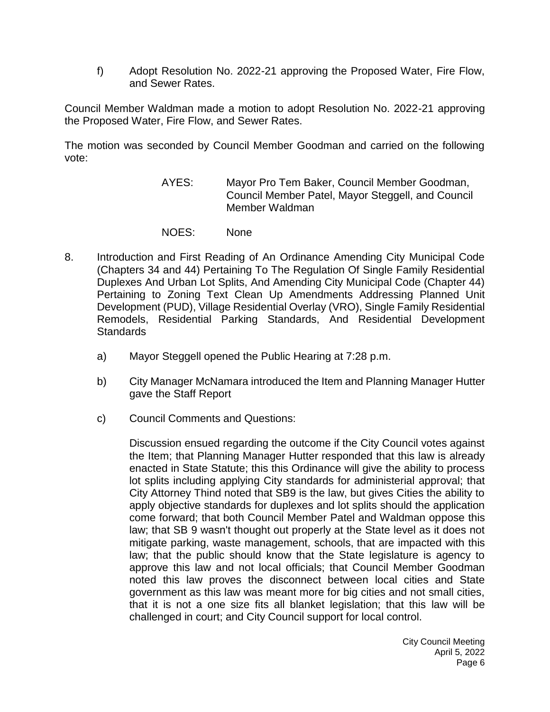f) Adopt Resolution No. 2022-21 approving the Proposed Water, Fire Flow, and Sewer Rates.

Council Member Waldman made a motion to adopt Resolution No. 2022-21 approving the Proposed Water, Fire Flow, and Sewer Rates.

The motion was seconded by Council Member Goodman and carried on the following vote:

- AYES: Mayor Pro Tem Baker, Council Member Goodman, Council Member Patel, Mayor Steggell, and Council Member Waldman
- NOES: None
- 8. [Introduction and First Reading of An Ordinance Amending City Municipal Code](https://lapalma.granicus.com/MediaPlayer.php?view_id=&clip_id=1286&meta_id=172356)  [\(Chapters 34 and 44\) Pertaining To The Regulation Of Single Family Residential](https://lapalma.granicus.com/MediaPlayer.php?view_id=&clip_id=1286&meta_id=172356)  [Duplexes And Urban Lot Splits, And Amending City Municipal Code \(Chapter 44\)](https://lapalma.granicus.com/MediaPlayer.php?view_id=&clip_id=1286&meta_id=172356)  [Pertaining to Zoning Text Clean Up Amendments Addressing Planned Unit](https://lapalma.granicus.com/MediaPlayer.php?view_id=&clip_id=1286&meta_id=172356)  [Development \(PUD\), Village Residential Overlay \(VRO\), Single Family Residential](https://lapalma.granicus.com/MediaPlayer.php?view_id=&clip_id=1286&meta_id=172356)  [Remodels, Residential Parking Standards, And Residential Development](https://lapalma.granicus.com/MediaPlayer.php?view_id=&clip_id=1286&meta_id=172356)  **[Standards](https://lapalma.granicus.com/MediaPlayer.php?view_id=&clip_id=1286&meta_id=172356)** 
	- a) [Mayor Steggell opened the Public Hearing at 7:28 p.m.](https://lapalma.granicus.com/MediaPlayer.php?view_id=&clip_id=1286&meta_id=172357)
	- b) [City Manager McNamara introduced the Item and Planning Manager Hutter](https://lapalma.granicus.com/MediaPlayer.php?view_id=&clip_id=1286&meta_id=172358)  [gave the Staff Report](https://lapalma.granicus.com/MediaPlayer.php?view_id=&clip_id=1286&meta_id=172358)
	- c) [Council Comments and Questions:](https://lapalma.granicus.com/MediaPlayer.php?view_id=&clip_id=1286&meta_id=172359)

Discussion ensued regarding the outcome if the City Council votes against the Item; that Planning Manager Hutter responded that this law is already enacted in State Statute; this this Ordinance will give the ability to process lot splits including applying City standards for administerial approval; that City Attorney Thind noted that SB9 is the law, but gives Cities the ability to apply objective standards for duplexes and lot splits should the application come forward; that both Council Member Patel and Waldman oppose this law; that SB 9 wasn't thought out properly at the State level as it does not mitigate parking, waste management, schools, that are impacted with this law; that the public should know that the State legislature is agency to approve this law and not local officials; that Council Member Goodman noted this law proves the disconnect between local cities and State government as this law was meant more for big cities and not small cities, that it is not a one size fits all blanket legislation; that this law will be challenged in court; and City Council support for local control.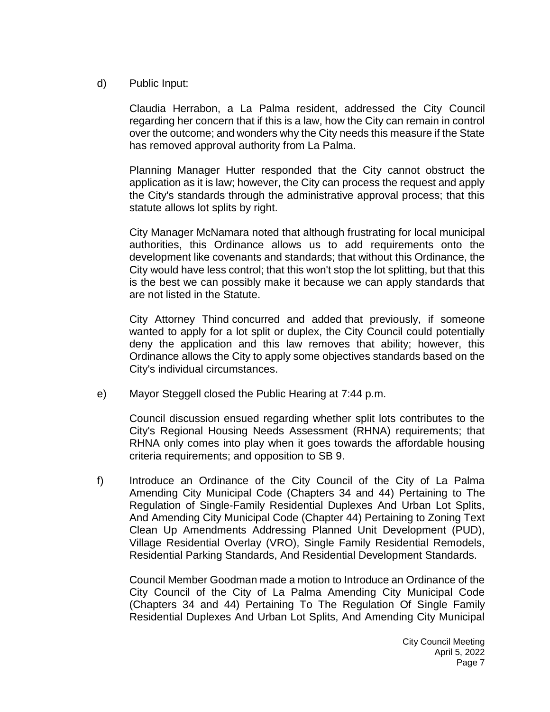### d) [Public Input:](https://lapalma.granicus.com/MediaPlayer.php?view_id=&clip_id=1286&meta_id=172360)

Claudia Herrabon, a La Palma resident, addressed the City Council regarding her concern that if this is a law, how the City can remain in control over the outcome; and wonders why the City needs this measure if the State has removed approval authority from La Palma.

Planning Manager Hutter responded that the City cannot obstruct the application as it is law; however, the City can process the request and apply the City's standards through the administrative approval process; that this statute allows lot splits by right.

City Manager McNamara noted that although frustrating for local municipal authorities, this Ordinance allows us to add requirements onto the development like covenants and standards; that without this Ordinance, the City would have less control; that this won't stop the lot splitting, but that this is the best we can possibly make it because we can apply standards that are not listed in the Statute.

City Attorney Thind concurred and added that previously, if someone wanted to apply for a lot split or duplex, the City Council could potentially deny the application and this law removes that ability; however, this Ordinance allows the City to apply some objectives standards based on the City's individual circumstances.

e) [Mayor Steggell closed the Public Hearing at 7:44 p.m.](https://lapalma.granicus.com/MediaPlayer.php?view_id=&clip_id=1286&meta_id=172361)

Council discussion ensued regarding whether split lots contributes to the City's Regional Housing Needs Assessment (RHNA) requirements; that RHNA only comes into play when it goes towards the affordable housing criteria requirements; and opposition to SB 9.

f) Introduce an Ordinance of the City Council of the City of La Palma Amending City Municipal Code (Chapters 34 and 44) Pertaining to The Regulation of Single-Family Residential Duplexes And Urban Lot Splits, And Amending City Municipal Code (Chapter 44) Pertaining to Zoning Text Clean Up Amendments Addressing Planned Unit Development (PUD), Village Residential Overlay (VRO), Single Family Residential Remodels, Residential Parking Standards, And Residential Development Standards.

Council Member Goodman made a motion to Introduce an Ordinance of the City Council of the City of La Palma Amending City Municipal Code (Chapters 34 and 44) Pertaining To The Regulation Of Single Family Residential Duplexes And Urban Lot Splits, And Amending City Municipal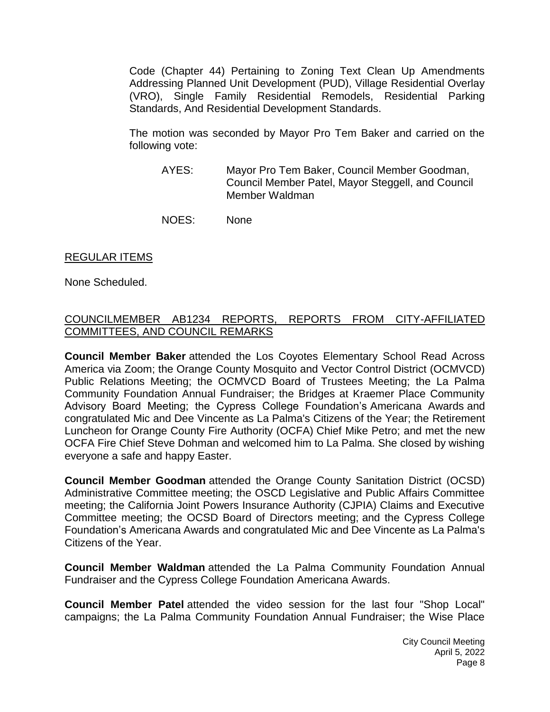Code (Chapter 44) Pertaining to Zoning Text Clean Up Amendments Addressing Planned Unit Development (PUD), Village Residential Overlay (VRO), Single Family Residential Remodels, Residential Parking Standards, And Residential Development Standards.

The motion was seconded by Mayor Pro Tem Baker and carried on the following vote:

- AYES: Mayor Pro Tem Baker, Council Member Goodman, Council Member Patel, Mayor Steggell, and Council Member Waldman
- NOES: None

### REGULAR ITEMS

None Scheduled.

# [COUNCILMEMBER AB1234 REPORTS, REPORTS FROM CITY-AFFILIATED](https://lapalma.granicus.com/MediaPlayer.php?view_id=&clip_id=1286&meta_id=172364)  [COMMITTEES, AND COUNCIL REMARKS](https://lapalma.granicus.com/MediaPlayer.php?view_id=&clip_id=1286&meta_id=172364)

**Council Member Baker** attended the Los Coyotes Elementary School Read Across America via Zoom; the Orange County Mosquito and Vector Control District (OCMVCD) Public Relations Meeting; the OCMVCD Board of Trustees Meeting; the La Palma Community Foundation Annual Fundraiser; the Bridges at Kraemer Place Community Advisory Board Meeting; the Cypress College Foundation's Americana Awards and congratulated Mic and Dee Vincente as La Palma's Citizens of the Year; the Retirement Luncheon for Orange County Fire Authority (OCFA) Chief Mike Petro; and met the new OCFA Fire Chief Steve Dohman and welcomed him to La Palma. She closed by wishing everyone a safe and happy Easter.

**Council Member Goodman** attended the Orange County Sanitation District (OCSD) Administrative Committee meeting; the OSCD Legislative and Public Affairs Committee meeting; the California Joint Powers Insurance Authority (CJPIA) Claims and Executive Committee meeting; the OCSD Board of Directors meeting; and the Cypress College Foundation's Americana Awards and congratulated Mic and Dee Vincente as La Palma's Citizens of the Year.

**Council Member Waldman** attended the La Palma Community Foundation Annual Fundraiser and the Cypress College Foundation Americana Awards.

**Council Member Patel** attended the video session for the last four "Shop Local" campaigns; the La Palma Community Foundation Annual Fundraiser; the Wise Place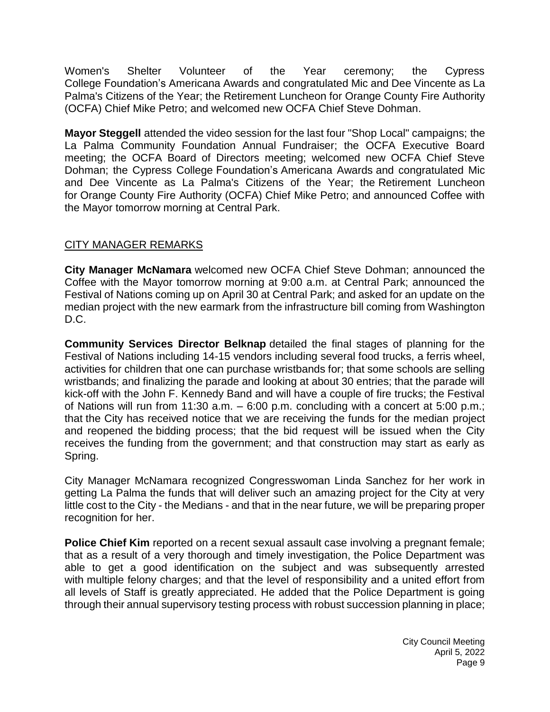Women's Shelter Volunteer of the Year ceremony; the Cypress College Foundation's Americana Awards and congratulated Mic and Dee Vincente as La Palma's Citizens of the Year; the Retirement Luncheon for Orange County Fire Authority (OCFA) Chief Mike Petro; and welcomed new OCFA Chief Steve Dohman.

**Mayor Steggell** attended the video session for the last four "Shop Local" campaigns; the La Palma Community Foundation Annual Fundraiser; the OCFA Executive Board meeting; the OCFA Board of Directors meeting; welcomed new OCFA Chief Steve Dohman; the Cypress College Foundation's Americana Awards and congratulated Mic and Dee Vincente as La Palma's Citizens of the Year; the Retirement Luncheon for Orange County Fire Authority (OCFA) Chief Mike Petro; and announced Coffee with the Mayor tomorrow morning at Central Park.

## [CITY MANAGER REMARKS](https://lapalma.granicus.com/MediaPlayer.php?view_id=&clip_id=1286&meta_id=172365)

**City Manager McNamara** welcomed new OCFA Chief Steve Dohman; announced the Coffee with the Mayor tomorrow morning at 9:00 a.m. at Central Park; announced the Festival of Nations coming up on April 30 at Central Park; and asked for an update on the median project with the new earmark from the infrastructure bill coming from Washington D.C.

**Community Services Director Belknap** detailed the final stages of planning for the Festival of Nations including 14-15 vendors including several food trucks, a ferris wheel, activities for children that one can purchase wristbands for; that some schools are selling wristbands; and finalizing the parade and looking at about 30 entries; that the parade will kick-off with the John F. Kennedy Band and will have a couple of fire trucks; the Festival of Nations will run from 11:30 a.m.  $-6:00$  p.m. concluding with a concert at 5:00 p.m.; that the City has received notice that we are receiving the funds for the median project and reopened the bidding process; that the bid request will be issued when the City receives the funding from the government; and that construction may start as early as Spring.

City Manager McNamara recognized Congresswoman Linda Sanchez for her work in getting La Palma the funds that will deliver such an amazing project for the City at very little cost to the City - the Medians - and that in the near future, we will be preparing proper recognition for her.

**Police Chief Kim** reported on a recent sexual assault case involving a pregnant female; that as a result of a very thorough and timely investigation, the Police Department was able to get a good identification on the subject and was subsequently arrested with multiple felony charges; and that the level of responsibility and a united effort from all levels of Staff is greatly appreciated. He added that the Police Department is going through their annual supervisory testing process with robust succession planning in place;